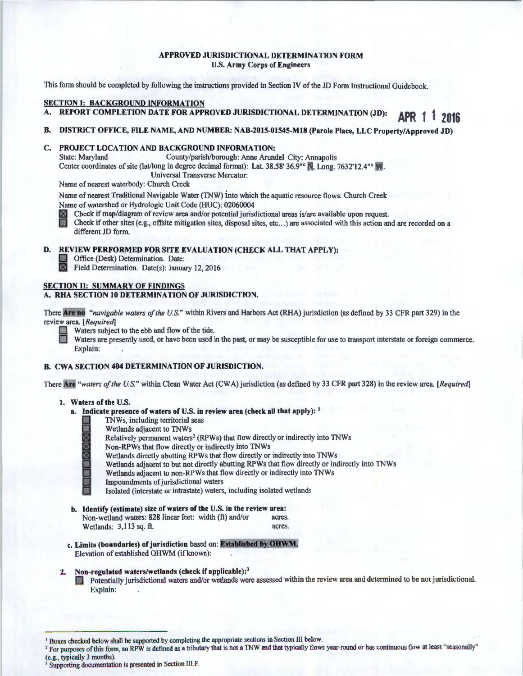## APPROVED JURISDICTIONAL DETERMINATION FORM U.S. Army Corps of Engineers

This form should be completed by following the instructions provided in Section IV of the JD Form Instructional Guidebook.

## SECTION I: BACKGROUND INFORMATION

REPORT COMPLETION DATE FOR APPROVED JURISDICTIONAL DETERMINATION (JD): **APR 1 1 2016** 

#### B. DISTRICT OFFICE, FILE NAME, AND NUMBER: NAB-2015-01545-M18 (Parole Place, LLC Property/Approved JD)

# C. PROJECT LOCATION AND BACKGROUND INFORMATION:<br>State: Maryland County/parish/borough: Anne Aruno

County/parish/borough: Anne Arundel City: Annapolis Center coordinates of site (lat/long in degree decimal format): Lat. 38.58' 36.9" and Long. 7632'12.4" W. Universal Transverse Mercator:

Name of nearest waterbody: Church Creek

Name of nearest Traditional Navigable Water (TNW) into which the aquatic resource flows: Church Creek Name of watershed or Hydrologic Unit Code (HUC): 02060004

Check if map/diagram of review area and/or potential jurisdictional areas is/are available upon request.

B Check if other sites (e.g., offsite mitigation sites, disposal sites, etc ... ) are associated with this action and are recorded on a different JD form.

# D. REVIEW PERFORMED FOR SITE EVALUATION (CHECK ALL THAT APPLY):<br>
Office (Desk) Determination. Date:

Office (Desk) Determination. Date:

**Field Determination.** Date(s): January 12, 2016

#### SECTION II: SUMMARY OF FINDINGS A. RHA SECTION 10 DETERMINATION OF JURISDICTION.

There Are no *"navigable waters of the U.S."* within Rivers and Harbors Act (RHA) jurisdiction (as defined by 33 CFR part 329) in the review area. *[Required]* 

Waters subject to the ebb and flow of the tide.

Waters are presently used, or have been used in the past, or may be susceptible for use to transport interstate or foreign commerce. Explain:

## B. CWA SECTION 404 DETERMINATION OF JURISDICTION.

There *"waters of the U.S."* within Clean Water Act (CWA) jurisdiction (as defined by 33 CFR part 328) in the review area. *[Required]* 

#### 1. Waters of the U.S.

- a. Indicate presence of waters of U.S. in review area (check all that apply): <sup>1</sup>
	- TNWs, including territorial seas
		- Wetlands adjacent to TNWs
	- Relatively permanent waters<sup>2</sup> (RPWs) that flow directly or indirectly into TNWs<br>Non-RPWs that flow directly or indirectly into TNWs
	-
	- Wetlands directly abutting RPWs that flow directly or indirectly into TNWs
	- ⊠ Non-RPWs that flow directly or indirectly into TNWs<br>Wetlands directly abutting RPWs that flow directly or<br>Wetlands adjacent to but not directly abutting RPWs t<br>Wetlands adjacent to non-RPWs that flow directly or i Wetlands adjacent to but not directly abutting RPWs that flow directly or indirectly into TNWs
		- Wetlands adjacent to non-RPWs that flow directly or indirectly into TNWs
			- Impoundments of jurisdictional waters
			- Isolated (interstate or intrastate) waters, including isolated wetlands
- b. Identify (estimate) size of waters of the U.S. in the review area: Non-wetland waters: 828 linear feet: width (ft) and/or acres.<br>Wetlands: 3.113 sq. ft. acres. Wetlands: 3,113 sq. ft.
- c. Limits (boundaries) of jurisdiction based on: Established by OHWM. Elevation of established OHWM (if known):

# 2. Non-regulated waters/wetlands (check if applicable):<sup>3</sup>

**DED** Potentially jurisdictional waters and/or wetlands were assessed within the review area and determined to be not jurisdictional. Explain:

<sup>&</sup>lt;sup>1</sup> Boxes checked below shall be supported by completing the appropriate sections in Section III below.

<sup>&</sup>lt;sup>2</sup> For purposes of this form, an RPW is defined as a tributary that is not a TNW and that typically flows year-round or has continuous flow at least "seasonally"

<sup>(</sup>e.g., typically 3 months).<br><sup>3</sup> Supporting documentation is presented in Section III.F.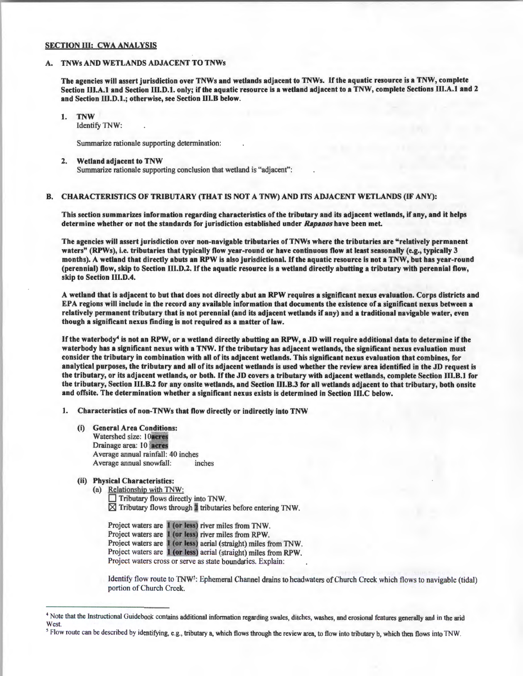## SECTION III: CWA ANALYSIS

#### A. TNWs AND WETLANDS ADJACENT TO TNWs

The agencies will assert jurisdiction over TNWs and wetlands adjacent to TNWs. If the aquatic resource is a TNW, complete Section III.A.1 and Section III.D.1. only; if the aquatic resource is a wetland adjacent to a TNW, complete Sections III.A.1 and 2 and Section llI.D.1.; otherwise, see Section Ill.B below.

1. TNW

Identify TNW:

Summarize rationale supporting determination:

2. Wetland adjacent to TNW Summarize rationale supporting conclusion that wetland is "adjacent":

### B. CHARACTERISTICS OF TRIBUTARY (THAT IS NOT A TNW) AND ITS ADJACENT WETLANDS (IF ANY):

This section summarizes information regarding characteristics of the tributary and its adjacent wetlands, ifany, and it helps determine whether or not the standards for jurisdiction established under *Rapanos* have been met.

The agencies will assert jurisdiction over non-navigable tributaries of TNWs where the tributaries are "relatively permanent waters" (RPWs), i.e. tributaries that typically flow year-round or have continuous flow at least seasonally (e.g., typically 3 months). A wetland that directly abuts an RPW is also jurisdictional. If the aquatic resource is not a TNW, but has year-round (perennial) flow, skip to Section Ill.D.2. lfthe aquatic resource is a wetland directly abutting a tributary with perennial flow, skip to Section lll.D.4.

A wetland that is adjacent to but that does not directly abut an RPW requires a significant nexus evaluation. Corps districts and EPA regions will include in the record any available information that documents the existence of a significant nexus between a relatively permanent tributary that is not perennial (and its adjacent wetlands if any) and a traditional navigable water, even though a significant nexus finding is not required as a matter of law.

If the waterbody<sup>4</sup> is not an RPW, or a wetland directly abutting an RPW, a JD will require additional data to determine if the waterbody has a significant nexus with a TNW. If the tributary has adjacent wetlands, the significant nexus evaluation must consider the tributary in combination with all of its adjacent wetlands. This significant nexus evaluation that combines, for analytical purposes, the tributary and all of its adjacent wetlands is used whether the review area identified in the JD request is the tributary, or its adjacent wetlands, or both. If the JD covers a tributary with adjacent wetlands, complete Section lll.B.1 for the tributary, Section Ill.B.2 for any onsite wetlands, and Section Ill.B.3 for all wetlands adjacent to that tributary, both onsite and offsite. The determination whether a significant nexus exists is determined in Section lll.C below.

1. Characteristics of non-TNWs that flow directly or indirectly into TNW

- (i) General Area Conditions: Watershed size: 10acres Drainage area: 10 neres Average annual rainfall: 40 inches Average annual snowfall: inches
- (ii) Physical Characteristics:

(a) Relationship with TNW:  $\Box$  Tributary flows directly into TNW.  $\boxtimes$  Tributary flows through  $\blacktriangleright$  tributaries before entering TNW.

Project waters are 1 (or less) river miles from TNW. Project waters are 1 (or less) river miles from RPW. Project waters are 1 (or less) aerial (straight) miles from TNW. Project waters are 1 (or less) aerial (straight) miles from RPW. Project waters cross or serve as state boundaries. Explain:

Identify flow route to TNW<sup>5</sup>: Ephemeral Channel drains to headwaters of Church Creek which flows to navigable (tidal) portion of Church Creek.

<sup>5</sup> Flow route can be described by identifying, e.g., tributary a, which flows through the review area, to flow into tributary b, which then flows into TNW.

<sup>&</sup>lt;sup>4</sup> Note that the Instructional Guidebook contains additional information regarding swales, ditches, washes, and erosional features generally and in the arid West.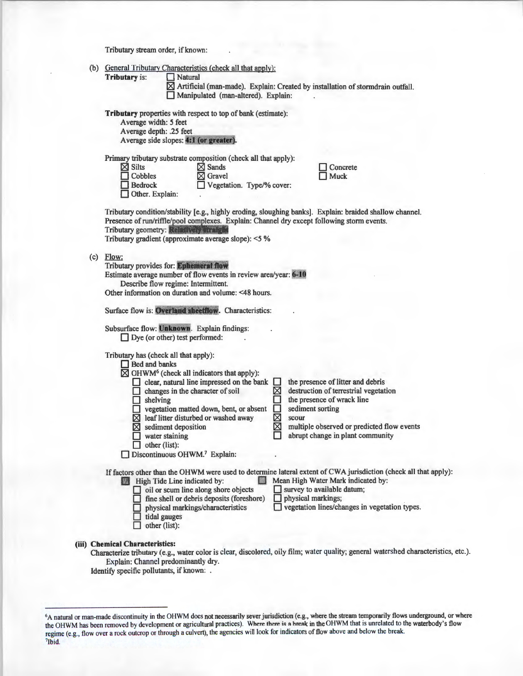Tributary stream order, if known:

|  | (b) General Tributary Characteristics (check all that apply):                                                                                                                                                                                                                                                                                                                                                                                                                                                                                                                                                                                                                             |
|--|-------------------------------------------------------------------------------------------------------------------------------------------------------------------------------------------------------------------------------------------------------------------------------------------------------------------------------------------------------------------------------------------------------------------------------------------------------------------------------------------------------------------------------------------------------------------------------------------------------------------------------------------------------------------------------------------|
|  | <b>Tributary is:</b><br>Natural<br>⊠ Artificial (man-made). Explain: Created by installation of stormdrain outfall.<br>Manipulated (man-altered). Explain:                                                                                                                                                                                                                                                                                                                                                                                                                                                                                                                                |
|  | <b>Tributary</b> properties with respect to top of bank (estimate):<br>Average width: 5 feet<br>Average depth: .25 feet<br>Average side slopes: 4:1 (or greater).                                                                                                                                                                                                                                                                                                                                                                                                                                                                                                                         |
|  | Primary tributary substrate composition (check all that apply):<br>$\boxtimes$ Silts<br>$\boxtimes$ Sands<br>Concrete<br>Cobbles<br>Gravel<br><b>Muck</b><br><b>Bedrock</b><br>Vegetation. Type/% cover:<br>Other. Explain:                                                                                                                                                                                                                                                                                                                                                                                                                                                               |
|  | Tributary condition/stability [e.g., highly eroding, sloughing banks]. Explain: braided shallow channel.<br>Presence of run/riffle/pool complexes. Explain: Channel dry except following storm events.<br>Tributary geometry: Referred and the<br>Tributary gradient (approximate average slope): <5 %                                                                                                                                                                                                                                                                                                                                                                                    |
|  | $(c)$ Flow:<br>Tributary provides for: Ephemeral flow<br>Estimate average number of flow events in review area/year: 6-10<br>Describe flow regime: Intermittent.<br>Other information on duration and volume: <48 hours.                                                                                                                                                                                                                                                                                                                                                                                                                                                                  |
|  | Surface flow is: Overland sheetflow. Characteristics:<br>Subsurface flow: Unknown. Explain findings:<br>$\Box$ Dye (or other) test performed:                                                                                                                                                                                                                                                                                                                                                                                                                                                                                                                                             |
|  | Tributary has (check all that apply):<br>Bed and banks<br>$\boxtimes$ OHWM <sup>6</sup> (check all indicators that apply):<br>the presence of litter and debris<br>clear, natural line impressed on the bank<br>ш<br>⊠<br>destruction of terrestrial vegetation<br>changes in the character of soil<br>the presence of wrack line<br>$\Box$ shelving<br>sediment sorting<br>□<br>vegetation matted down, bent, or absent<br>図図<br>$\boxtimes$ leaf litter disturbed or washed away<br>scour<br>sediment deposition<br>multiple observed or predicted flow events<br>区<br>abrupt change in plant community<br>water staining<br>other (list):<br>Discontinuous OHWM. <sup>7</sup> Explain: |
|  | If factors other than the OHWM were used to determine lateral extent of CWA jurisdiction (check all that apply):<br>Mean High Water Mark indicated by:<br>High Tide Line indicated by:<br>558<br>survey to available datum;<br>oil or scum line along shore objects<br>fine shell or debris deposits (foreshore)<br>physical markings;<br>vegetation lines/changes in vegetation types.<br>physical markings/characteristics<br>tidal gauges<br>other (list):                                                                                                                                                                                                                             |

# (iii) Chemical Characteristics:

Characterize tributary (e.g., water color is clear, discolored, oily film; water quality; general watershed characteristics, etc.). Explain: Channel predominantly dry.

Identify specific pollutants, if known: .

 $6A$  natural or man-made discontinuity in the OHWM does not necessarily sever jurisdiction (e.g., where the stream temporarily flows underground, or where the OHWM has been removed by development or agricultural practices). Where there is a break in the OHWM that is unrelated to the waterbody's flow regime (e.g., flow over a rock outcrop or through a culvert), the agencies will look for indicators of flow above and below the break. 71bid.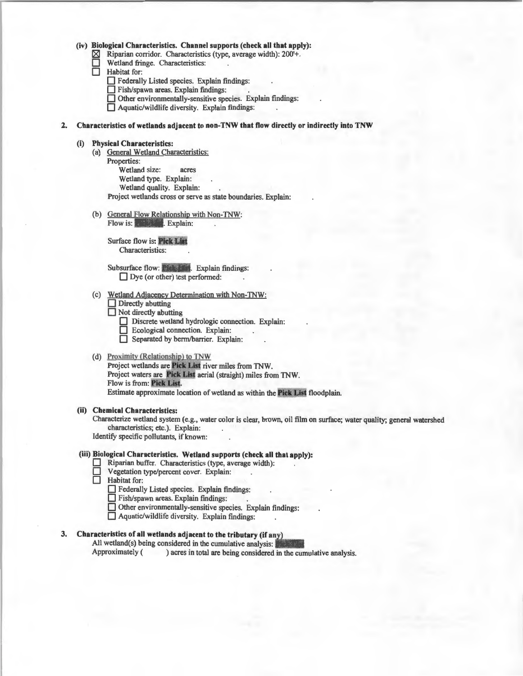#### (iv) Biological Characteristics. Channel supports (check all that apply):

- $\boxtimes$  Riparian corridor. Characteristics (type, average width): 200<sup>'+</sup>.<br>
Wetland fringe. Characteristics:
- Wetland fringe. Characteristics:<br>
Habitat for:

- Federally Listed species. Explain findings:
- Habitat for:<br>  $\Box$  Federall:<br>  $\Box$  Fish/spa<br>  $\Box$  Other en Fish/spawn areas. Explain findings:
- Other environmentally-sensitive species. Explain findings:
- $\Box$  Aquatic/wildlife diversity. Explain findings:

## 2. Characteristics of wetlands adjacent to non-TNW that flow directly or indirectly into TNW

#### (i) Physical Characteristics:

- (a) General Wetland Characteristics: Properties: Wetland size: acres Wetland type. Explain: Wetland quality. Explain: Project wetlands cross or serve as state boundaries. Explain:
- (b) General Flow Relationship with Non-TNW: Flow is: Explain:

Surface flow is: Pick List Characteristics:

Subsurface flow: Pick . Explain findings:  $\Box$  Dye (or other) test performed:

- (c) Wetland Adjacency Determination with Non-TNW:
	- $\Box$  Directly abutting
	- $\Box$  Not directly abutting
		- Discrete wetland hydrologic connection. Explain:
		- D Ecological connection. Explain:
	- D Separated by berm/barrier. Explain:

### (d) Proximity (Relationship) to TNW

Project wetlands are Pick List river miles from TNW. Project waters are Pick List aerial (straight) miles from TNW. Flow is from: Pick List. Estimate approximate location of wetland as within the Pick List floodplain.

#### (ii) Chemical Characteristics:

Characterize wetland system (e.g., water color is clear, brown, oil film on surface; water quality; general watershed characteristics; etc.). Explain:

Identify specific pollutants, if known:

## (iii) Biological Characteristics. Wetland supports (check all that apply):

- Riparian buffer. Characteristics (type, average width):
- $\Box$  Vegetation type/percent cover. Explain:<br> $\Box$  Habitat for:
- Habitat for:
	- D Federally Listed species. Explain findings:
	- D Fish/spawn areas. Explain findings: .
	- $\Box$  Other environmentally-sensitive species. Explain findings:
	- D Aquatic/wildlife diversity. Explain findings:

# 3. Characteristics of all wetlands adjacent to the tributary (if any)

All wetland(s) being considered in the cumulative analysis:  $\blacksquare$ Approximately ( ) acres in total are being considered in the cumulative analysis.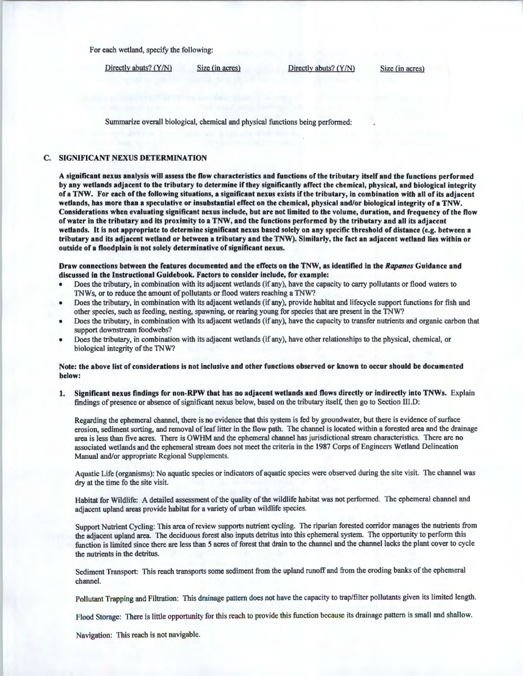For each wetland, specify the following:

Directly abuts? (Y/N) Size (in acres) Directly abuts? (Y/N) Size (in acres)

Summarize overall biological, chemical and physical functions being performed:

#### C. SIGNIFICANT NEXUS DETERMINATION

A significant nexus analysis will assess the flow characteristics and functions of the tributary itself and the functions performed by any wetlands adjacent to the tributary to determine if they significantly affect the chemical, physical, and biological integrity of a TNW. For each of the following situations, a significant nexus exists if the tributary, in combination with all of its adjacent wetlands, has more than a speculative or insubstantial effect on the chemical, physical and/or biological integrity of a TNW. Considerations when evaluating significant nexus include, but are not limited to the volume, duration, and frequency of the flow of water in the tributary and its proximity to a TNW, and the functions performed by the tributary and all its adjacent wetlands. It is not appropriate to determine significant nexus based solely on any specific threshold of distance (e.g. between a tributary and its adjacent wetland or between a tributary and the TNW). Similarly, the fact an adjacent wetland lies within or outside of a floodplain is not solely determinative of significant nexus.

#### Draw connections between the features documented and the effects on the TNW, as identified in the *Rapanos* Guidance and discussed in the Instructional Guidebook. Factors to consider include, for example:

- Does the tributary, in combination with its adjacent wetlands (if any), have the capacity to carry pollutants or flood waters to TNWs, or to reduce the amount of pollutants or flood waters reaching a TNW?
- Does the tributary, in combination with its adjacent wetlands (if any), provide habitat and lifecycle support functions for fish and other species, such as feeding, nesting, spawning, or rearing young for species that are present in the TNW?
- Does the tributary, in combination with its adjacent wetlands (if any), have the capacity to transfer nutrients and organic carbon that support downstream foodwebs?
- Does the tributary, in combination with its adjacent wetlands (if any), have other relationships to the physical, chemical, or biological integrity of the TNW?

## Note: the above list of considerations is not inclusive and other functions observed or known to occur should be documented below:

1. Significant nexus findings for non-RPW that has no adjacent wetlands and flows directly or indirectly into TNWs. Explain findings of presence or absence of significant nexus below, based on the tributary itself, then go to Section Ill.D:

Regarding the ephemeral channel, there is no evidence that this system is fed by groundwater, but there is evidence of surface erosion, sediment sorting, and removal of leaf litter in the flow path. The channel is located within a forested area and the drainage area is less than five acres. There is OWHM and the ephemeral channel has jurisdictional stream characteristics. There are no associated wetlands and the ephemeral stream does not meet the criteria in the 1987 Corps of Engineers Wetland Delineation Manual and/or appropriate Regional Supplements.

Aquatic Life (organisms): No aquatic species or indicators of aquatic species were observed during the site visit. The channel was dry at the time fo the site visit.

Habitat for Wildlife: A detailed assessment of the quality of the wildlife habitat was not performed. The ephemeral channel and adjacent upland areas provide habitat for a variety of urban wildlife species.

Support Nutrient Cycling: This area of review supports nutrient cycling. The riparian forested corridor manages the nutrients from the adjacent upland area. The deciduous forest also inputs detritus into this ephemeral system. The opportunity to perform this function is limited since there are less than 5 acres of forest that drain to the channel and the channel lacks the plant cover to cycle the nutrients in the detritus.

Sediment Transport: This reach transports some sediment from the upland runoff and from the eroding banks of the ephemeral channel.

Pollutant Trapping and Filtration: This drainage pattern does not have the capacity to trap/filter pollutants given its limited length.

Flood Storage: There is little opportunity for this reach to provide this function because its drainage pattern is small and shallow.

Navigation: This reach is not navigable.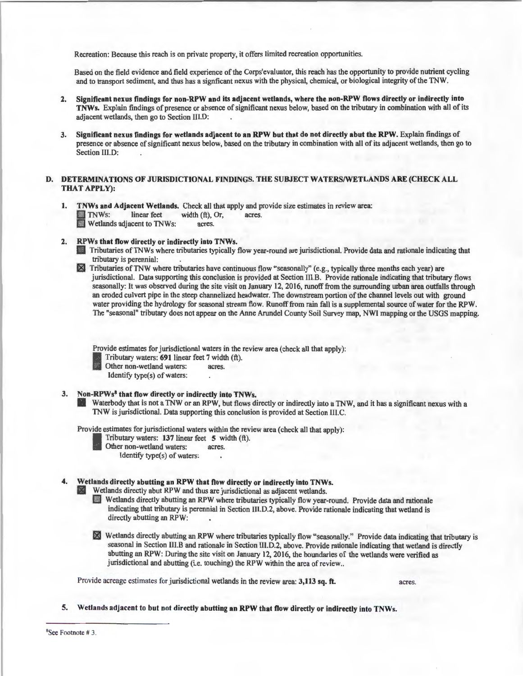Recreation: Because this reach is on private property, it offers limited recreation opportunities.

Based on the field evidence and field experience of the Corps'evaluator, this reach has the opportunity to provide nutrient cycling and to transport sediment, and thus has a signficant nexus with the physical, chemical, or biological integrity of the TNW.

- 2. Significant nexus findings for non-RPW and its adjacent wetlands, where the non-RPW Dows directly or indirectly into TNWs. Explain findings of presence or absence of significant nexus below, based on the tributary in combination with all of its adjacent wetlands, then go to Section III.D:
- 3. Significant nexus findings for wetlands adjacent to an RPW but that do not directly abut the RPW. Explain findings of presence or absence of significant nexus below, based on the tributary in combination with all of its adjacent wetlands, then go to Section III.D:

## D. DETERMINATIONS OF JURISDICTIONAL FINDINGS. THE SUBJECT WATERS/WETLANDS ARE (CHECK ALL THAT APPLY):

- 1. TNWs and Adjacent Wetlands. Check all that apply and provide size estimates in review area:<br>
TNWs: linear feet width (ft), Or, acres.<br>
Wetlands adjacent to TNWs: acres. TNWs: linear feet width  $(ft)$ , Or, acres.<br>Wetlands adjacent to TNWs: acres.
- 2. RPWs that flow directly or indirectly into TNWs.
	- D Tributaries ofTNWs where tributaries typically flow year-round are jurisdictional. Provide data and rationale indicating that tributary is perennial:
	- 区 Tributaries ofTNW where tributaries have continuous flow "seasonally" (e.g., typically three months each year) are jurisdictional. Data supporting this conclusion is provided at Section III.B. Provide rationale indicating that tributary flows seasonally: It was observed during the site visit on January 12, 2016, runoff from the surrounding urban area outfalls through an eroded culvert pipe in the steep channelized headwater. The downstream portion of the channel levels out with ground water providing the hydrology for seasonal stream flow. Runoff from rain fall is a supplemental source of water for the RPW. The "seasonal" tributary does not appear on the Anne Arundel County Soil Survey map, NWI mapping or the USGS mapping.

Provide estimates for jurisdictional waters in the review area (check all that apply):

Tributary waters: 691 linear feet 7 width (ft).

Other non-wetland waters: acres.

Identify type(s) of waters:

## 3. Non-RPWs<sup>8</sup> that flow directly or indirectly into TNWs.

Waterbody that is not a TNW or an RPW, but flows directly or indirectly into a TNW, and it has a significant nexus with a TNW is jurisdictional. Data supporting this conclusion is provided at Section III.C.

Provide estimates for jurisdictional waters within the review area (check all that apply):

Tributary waters:  $137$  linear feet 5 width (ft). Other non-wetland waters: acres.

Identify type(s) of waters:

## 4. Wetlands directly abutting an RPW that flow directly or indirectly into TNWs.

1841 Wetlands directly abut RPW and thus are jurisdictional as adjacent wetlands.

- Wetlands directly abutting an RPW where tributaries typically flow year-round. Provide data and rationale indicating that tributary is perennial in Section lll.D.2, above. Provide rationale indicating that wetland is directly abutting an RPW:
- <sup>1811</sup>Wetlands directly abutting an RPW where tributaries typically flow "seasonally." Provide data indicating that tributary is seasonal in Section III.B and rationale in Section Ill.D.2, above. Provide rationale indicating that wetland is directly abutting an RPW: During the site visit on January 12, 2016, the boundaries of the wetlands were verified as jurisdictional and abutting (i.e. touching) the RPW within the area of review...

Provide acreage estimates for jurisdictional wetlands in the review area: 3,113 sq. ft. acres.

5. Wetlands adjacent to but not directly abutting an RPW that Dow directly or indirectly into TNWs.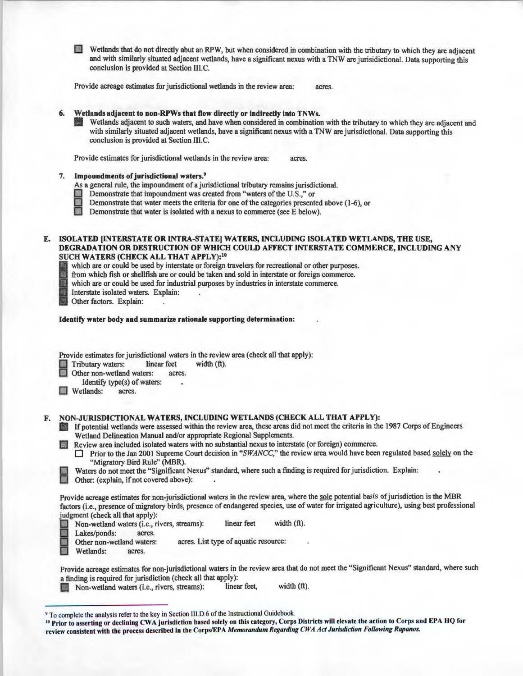**I** Wetlands that do not directly abut an RPW, but when considered in combination with the tributary to which they are adjacent and with similarly situated adjacent wetlands, have a significant nexus with a TNW are jurisidictional. Data supporting this conclusion is provided at Section III.C.

Provide acreage estimates for jurisdictional wetlands in the review area: acres.

# 6. Wetlands adjacent to non-RPWs that flow directly or indirectly into TNWs.

Wetlands adjacent to such waters, and have when considered in combination with the tributary to which they are adjacent and with similarly situated adjacent wetlands, have a significant nexus with a TNW are jurisdictional. Data supporting this conclusion is provided at Section IIl.C.

Provide estimates for jurisdictional wetlands in the review area: acres.

#### Impoundments of jurisdictional waters.<sup>9</sup>

As a general rule, the impoundment of a jurisdictional tributary remains jurisdictional.

- Demonstrate that impoundment was created from "waters of the U.S.," or
- **EXECUTE:** Demonstrate that water meets the criteria for one of the categories presented above (1-6), or **Demonstrate that water is isolated with a nexus to commerce (see E below).** 
	-
- E. ISOLATED (INTERSTATE OR INTRA-STATE) WATERS, INCLUDING ISOLATED WETLANDS, THE USE, DEGRADATION OR DESTRUCTION OF WHICH COULD AFFECT INTERSTATE COMMERCE, INCLUDING ANY SUCH WATERS (CHECK ALL THAT APPLY): <sup>10</sup>
	- which are or could be used by interstate or foreign travelers for recreational or other purposes.<br>from which fish or shellfish are or could be taken and sold in interstate or foreign commerce.
	- **4. From which fish or shellfish are or could be taken and sold in interstate or foreign commerce.**<br> **4. The value of the taken and sold in interstate commerce.**<br> **4. Interstate isolated waters.** Explain:<br> **4. Other factor** 
		- which are or could be used for industrial purposes by industries in interstate commerce.
		- Interstate isolated waters. Explain: .
		- Other factors. Explain:

#### Identify water body and summarize rationale supporting determination:

Provide estimates for jurisdictional waters in the review area (check all that apply):

Fributary waters: linear feet width (ft).<br>
Other non-wetland waters: acres.<br>
Identify targets of waters:

- 
- Identify type(s) of waters:
- **July Wetlands:** acres.

## F. NON-JURISDICTIONAL WATERS, INCLUDING WETLANDS (CHECK ALL THAT APPLY):

- If potential wetlands were assessed within the review area, these areas did not meet the criteria in the 1987 Corps of Engineers Wetland Delineation Manual and/or appropriate Regional Supplements.
- l!J Review area included isolated waters with no substantial nexus to interstate (or foreign) commerce.
	- Prior to the Jan 2001 Supreme Court decision in "*SWANCC*," the review area would have been regulated based solely on the "Migratory Bird Rule" (MBR).

Waters do not meet the "Significant Nexus" standard, where such a finding is required for jurisdiction. Explain:

Other: (explain, if not covered above):

Provide acreage estimates for non-jurisdictional waters in the review area, where the sole potential basis of jurisdiction is the MBR factors (i.e., presence of migratory birds, presence of endangered species, use of water for irrigated agriculture), using best professional judgment (check all that apply):

linear feet width (ft).

Mon-wetland waters (i.e., rivers, streams):<br>
Lakes/ponds: acres.<br>
Other non-wetland waters: acres. Li<br>
Wetlands: acres. acres. List type of aquatic resource: Other non-wetland waters:

Provide acreage estimates for non-jurisdictional waters in the review area that do not meet the "Significant Nexus" standard, where such a finding is required for jurisdiction (check all that apply):

[3] Non-wetland waters (i.e., rivers, streams): linear feet, width (ft).

<sup>&</sup>lt;sup>9</sup> To complete the analysis refer to the key in Section III.D.6 of the Instructional Guidebook.<br><sup>10</sup> Prior to asserting or declining CWA jurisdiction based solely on this category, Corps Districts will elevate the action review consistent with the process described in the Corps/EPA *Memorandum Regarding CWA Act Jurisdiction Following Rapanos.*